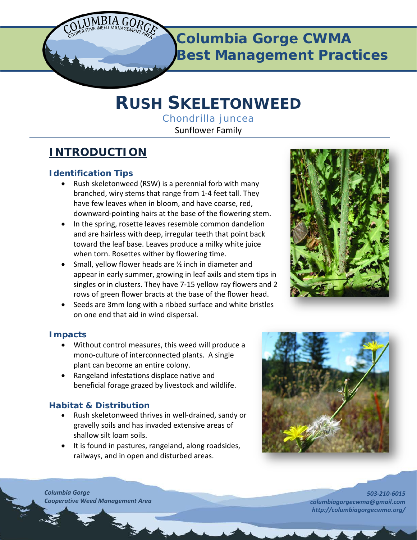

# **RUSH SKELETONWEED**

*Chondrilla juncea* Sunflower Family

## **INTRODUCTION**

#### **Identification Tips**

- Rush skeletonweed (RSW) is a perennial forb with many branched, wiry stems that range from 1-4 feet tall. They have few leaves when in bloom, and have coarse, red, downward-pointing hairs at the base of the flowering stem.
- In the spring, rosette leaves resemble common dandelion and are hairless with deep, irregular teeth that point back toward the leaf base. Leaves produce a milky white juice when torn. Rosettes wither by flowering time.
- Small, yellow flower heads are 1/2 inch in diameter and appear in early summer, growing in leaf axils and stem tips in singles or in clusters. They have 7-15 yellow ray flowers and 2 rows of green flower bracts at the base of the flower head.
- Seeds are 3mm long with a ribbed surface and white bristles on one end that aid in wind dispersal.



#### **Impacts**

- Without control measures, this weed will produce a mono-culture of interconnected plants. A single plant can become an entire colony.
- Rangeland infestations displace native and beneficial forage grazed by livestock and wildlife.

#### **Habitat & Distribution**

- Rush skeletonweed thrives in well-drained, sandy or gravelly soils and has invaded extensive areas of shallow silt loam soils.
- It is found in pastures, rangeland, along roadsides, railways, and in open and disturbed areas.



*503-210-6015 columbiagorgecwma@gmail.com http://columbiagorgecwma.org/*

*Columbia Gorge Cooperative Weed Management Area*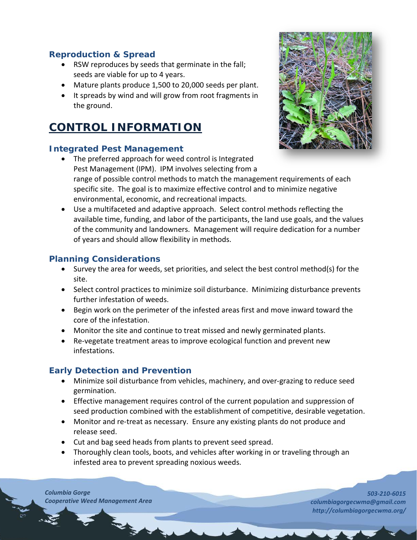#### **Reproduction & Spread**

- RSW reproduces by seeds that germinate in the fall; seeds are viable for up to 4 years.
- Mature plants produce 1,500 to 20,000 seeds per plant.
- It spreads by wind and will grow from root fragments in the ground.

## **CONTROL INFORMATION**

#### **Integrated Pest Management**

- The preferred approach for weed control is Integrated Pest Management (IPM). IPM involves selecting from a range of possible control methods to match the management requirements of each specific site. The goal is to maximize effective control and to minimize negative environmental, economic, and recreational impacts.
- Use a multifaceted and adaptive approach. Select control methods reflecting the available time, funding, and labor of the participants, the land use goals, and the values of the community and landowners. Management will require dedication for a number of years and should allow flexibility in methods.

#### **Planning Considerations**

- Survey the area for weeds, set priorities, and select the best control method(s) for the site.
- Select control practices to minimize soil disturbance. Minimizing disturbance prevents further infestation of weeds.
- Begin work on the perimeter of the infested areas first and move inward toward the core of the infestation.
- Monitor the site and continue to treat missed and newly germinated plants.
- Re-vegetate treatment areas to improve ecological function and prevent new infestations.

#### **Early Detection and Prevention**

- Minimize soil disturbance from vehicles, machinery, and over-grazing to reduce seed germination.
- Effective management requires control of the current population and suppression of seed production combined with the establishment of competitive, desirable vegetation.
- Monitor and re-treat as necessary. Ensure any existing plants do not produce and release seed.
- Cut and bag seed heads from plants to prevent seed spread.
- Thoroughly clean tools, boots, and vehicles after working in or traveling through an infested area to prevent spreading noxious weeds.

*Columbia Gorge Cooperative Weed Management Area*

*503-210-6015 columbiagorgecwma@gmail.com http://columbiagorgecwma.org/*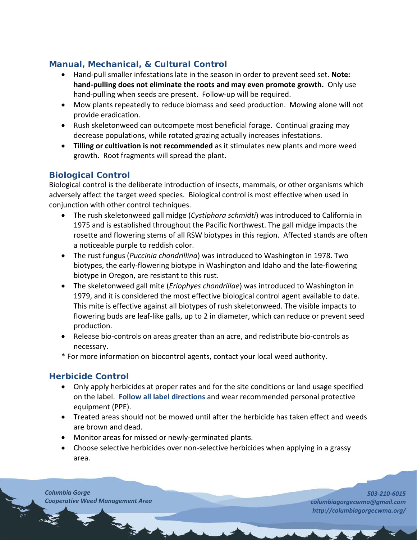### **Manual, Mechanical, & Cultural Control**

- Hand-pull smaller infestations late in the season in order to prevent seed set. **Note: hand-pulling does not eliminate the roots and may even promote growth.** Only use hand-pulling when seeds are present. Follow-up will be required.
- Mow plants repeatedly to reduce biomass and seed production. Mowing alone will not provide eradication.
- Rush skeletonweed can outcompete most beneficial forage. Continual grazing may decrease populations, while rotated grazing actually increases infestations.
- **Tilling or cultivation is not recommended** as it stimulates new plants and more weed growth. Root fragments will spread the plant.

#### **Biological Control**

Biological control is the deliberate introduction of insects, mammals, or other organisms which adversely affect the target weed species. Biological control is most effective when used in conjunction with other control techniques.

- The rush skeletonweed gall midge (*Cystiphora schmidti*) was introduced to California in 1975 and is established throughout the Pacific Northwest. The gall midge impacts the rosette and flowering stems of all RSW biotypes in this region. Affected stands are often a noticeable purple to reddish color.
- The rust fungus (*Puccinia chondrillina*) was introduced to Washington in 1978. Two biotypes, the early-flowering biotype in Washington and Idaho and the late-flowering biotype in Oregon, are resistant to this rust.
- The skeletonweed gall mite (*Eriophyes chondrillae*) was introduced to Washington in 1979, and it is considered the most effective biological control agent available to date. This mite is effective against all biotypes of rush skeletonweed. The visible impacts to flowering buds are leaf-like galls, up to 2 in diameter, which can reduce or prevent seed production.
- Release bio-controls on areas greater than an acre, and redistribute bio-controls as necessary.
- \* For more information on biocontrol agents, contact your local weed authority.

#### **Herbicide Control**

- Only apply herbicides at proper rates and for the site conditions or land usage specified on the label. **Follow all label directions** and wear recommended personal protective equipment (PPE).
- Treated areas should not be mowed until after the herbicide has taken effect and weeds are brown and dead.
- Monitor areas for missed or newly-germinated plants.
- Choose selective herbicides over non-selective herbicides when applying in a grassy area.

*Columbia Gorge Cooperative Weed Management Area*

*503-210-6015 columbiagorgecwma@gmail.com http://columbiagorgecwma.org/*